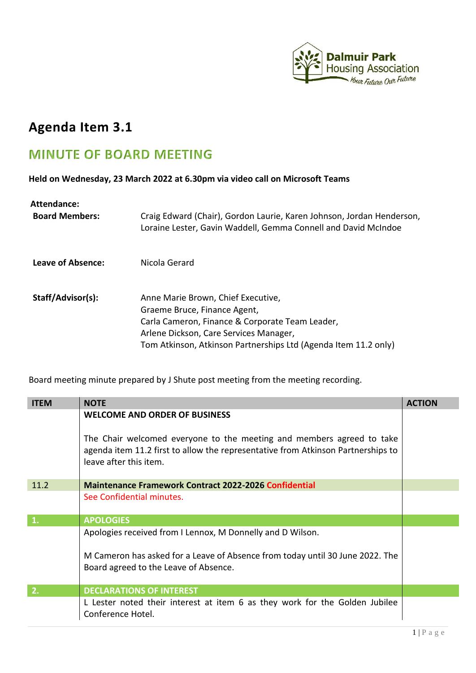

## **Agenda Item 3.1**

## **MINUTE OF BOARD MEETING**

**Held on Wednesday, 23 March 2022 at 6.30pm via video call on Microsoft Teams** 

| <b>Attendance:</b>    |                                                                                                                                                                                                                                    |
|-----------------------|------------------------------------------------------------------------------------------------------------------------------------------------------------------------------------------------------------------------------------|
| <b>Board Members:</b> | Craig Edward (Chair), Gordon Laurie, Karen Johnson, Jordan Henderson,<br>Loraine Lester, Gavin Waddell, Gemma Connell and David McIndoe                                                                                            |
| Leave of Absence:     | Nicola Gerard                                                                                                                                                                                                                      |
| Staff/Advisor(s):     | Anne Marie Brown, Chief Executive,<br>Graeme Bruce, Finance Agent,<br>Carla Cameron, Finance & Corporate Team Leader,<br>Arlene Dickson, Care Services Manager,<br>Tom Atkinson, Atkinson Partnerships Ltd (Agenda Item 11.2 only) |

Board meeting minute prepared by J Shute post meeting from the meeting recording.

| <b>ITEM</b>    | <b>NOTE</b>                                                                                                                                                                         | <b>ACTION</b> |
|----------------|-------------------------------------------------------------------------------------------------------------------------------------------------------------------------------------|---------------|
|                | <b>WELCOME AND ORDER OF BUSINESS</b>                                                                                                                                                |               |
|                | The Chair welcomed everyone to the meeting and members agreed to take<br>agenda item 11.2 first to allow the representative from Atkinson Partnerships to<br>leave after this item. |               |
| 11.2           | <b>Maintenance Framework Contract 2022-2026 Confidential</b>                                                                                                                        |               |
|                | See Confidential minutes.                                                                                                                                                           |               |
| $\mathbf{1}$ . | <b>APOLOGIES</b>                                                                                                                                                                    |               |
|                | Apologies received from I Lennox, M Donnelly and D Wilson.                                                                                                                          |               |
|                | M Cameron has asked for a Leave of Absence from today until 30 June 2022. The<br>Board agreed to the Leave of Absence.                                                              |               |
| 2.             | <b>DECLARATIONS OF INTEREST</b>                                                                                                                                                     |               |
|                | L Lester noted their interest at item 6 as they work for the Golden Jubilee<br>Conference Hotel.                                                                                    |               |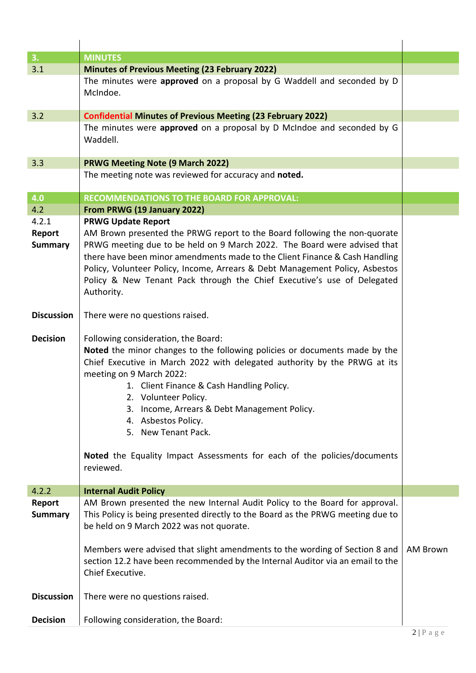| 3.                                | <b>MINUTES</b>                                                                                                                                                                                                                                                                                                                                                                                                                                                                            |                 |
|-----------------------------------|-------------------------------------------------------------------------------------------------------------------------------------------------------------------------------------------------------------------------------------------------------------------------------------------------------------------------------------------------------------------------------------------------------------------------------------------------------------------------------------------|-----------------|
| 3.1                               | Minutes of Previous Meeting (23 February 2022)                                                                                                                                                                                                                                                                                                                                                                                                                                            |                 |
|                                   | The minutes were approved on a proposal by G Waddell and seconded by D<br>McIndoe.                                                                                                                                                                                                                                                                                                                                                                                                        |                 |
| 3.2                               | <b>Confidential Minutes of Previous Meeting (23 February 2022)</b>                                                                                                                                                                                                                                                                                                                                                                                                                        |                 |
|                                   | The minutes were approved on a proposal by D McIndoe and seconded by G<br>Waddell.                                                                                                                                                                                                                                                                                                                                                                                                        |                 |
| 3.3                               | <b>PRWG Meeting Note (9 March 2022)</b>                                                                                                                                                                                                                                                                                                                                                                                                                                                   |                 |
|                                   | The meeting note was reviewed for accuracy and noted.                                                                                                                                                                                                                                                                                                                                                                                                                                     |                 |
| 4.0                               | <b>RECOMMENDATIONS TO THE BOARD FOR APPROVAL:</b>                                                                                                                                                                                                                                                                                                                                                                                                                                         |                 |
| 4.2                               | From PRWG (19 January 2022)                                                                                                                                                                                                                                                                                                                                                                                                                                                               |                 |
| 4.2.1<br>Report<br><b>Summary</b> | <b>PRWG Update Report</b><br>AM Brown presented the PRWG report to the Board following the non-quorate<br>PRWG meeting due to be held on 9 March 2022. The Board were advised that<br>there have been minor amendments made to the Client Finance & Cash Handling<br>Policy, Volunteer Policy, Income, Arrears & Debt Management Policy, Asbestos<br>Policy & New Tenant Pack through the Chief Executive's use of Delegated<br>Authority.                                                |                 |
| <b>Discussion</b>                 | There were no questions raised.                                                                                                                                                                                                                                                                                                                                                                                                                                                           |                 |
| <b>Decision</b>                   | Following consideration, the Board:<br>Noted the minor changes to the following policies or documents made by the<br>Chief Executive in March 2022 with delegated authority by the PRWG at its<br>meeting on 9 March 2022:<br>1. Client Finance & Cash Handling Policy.<br>2. Volunteer Policy.<br>Income, Arrears & Debt Management Policy.<br>3.<br>4. Asbestos Policy.<br>5. New Tenant Pack.<br>Noted the Equality Impact Assessments for each of the policies/documents<br>reviewed. |                 |
| 4.2.2                             | <b>Internal Audit Policy</b>                                                                                                                                                                                                                                                                                                                                                                                                                                                              |                 |
| Report<br><b>Summary</b>          | AM Brown presented the new Internal Audit Policy to the Board for approval.<br>This Policy is being presented directly to the Board as the PRWG meeting due to<br>be held on 9 March 2022 was not quorate.<br>Members were advised that slight amendments to the wording of Section 8 and<br>section 12.2 have been recommended by the Internal Auditor via an email to the<br>Chief Executive.                                                                                           | <b>AM Brown</b> |
| <b>Discussion</b>                 | There were no questions raised.                                                                                                                                                                                                                                                                                                                                                                                                                                                           |                 |
| <b>Decision</b>                   | Following consideration, the Board:                                                                                                                                                                                                                                                                                                                                                                                                                                                       |                 |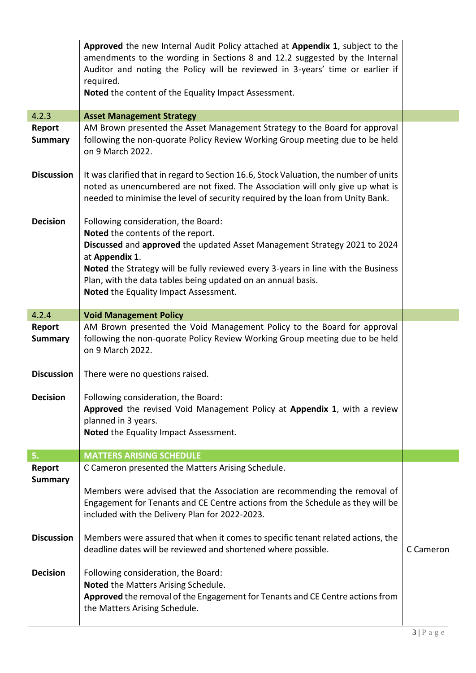|                          | Approved the new Internal Audit Policy attached at Appendix 1, subject to the<br>amendments to the wording in Sections 8 and 12.2 suggested by the Internal<br>Auditor and noting the Policy will be reviewed in 3-years' time or earlier if<br>required.<br>Noted the content of the Equality Impact Assessment. |           |
|--------------------------|-------------------------------------------------------------------------------------------------------------------------------------------------------------------------------------------------------------------------------------------------------------------------------------------------------------------|-----------|
|                          |                                                                                                                                                                                                                                                                                                                   |           |
| 4.2.3                    | <b>Asset Management Strategy</b><br>AM Brown presented the Asset Management Strategy to the Board for approval                                                                                                                                                                                                    |           |
| Report<br><b>Summary</b> | following the non-quorate Policy Review Working Group meeting due to be held<br>on 9 March 2022.                                                                                                                                                                                                                  |           |
| <b>Discussion</b>        | It was clarified that in regard to Section 16.6, Stock Valuation, the number of units<br>noted as unencumbered are not fixed. The Association will only give up what is<br>needed to minimise the level of security required by the loan from Unity Bank.                                                         |           |
| <b>Decision</b>          | Following consideration, the Board:                                                                                                                                                                                                                                                                               |           |
|                          | Noted the contents of the report.                                                                                                                                                                                                                                                                                 |           |
|                          | Discussed and approved the updated Asset Management Strategy 2021 to 2024                                                                                                                                                                                                                                         |           |
|                          | at Appendix 1.                                                                                                                                                                                                                                                                                                    |           |
|                          | Noted the Strategy will be fully reviewed every 3-years in line with the Business<br>Plan, with the data tables being updated on an annual basis.                                                                                                                                                                 |           |
|                          | Noted the Equality Impact Assessment.                                                                                                                                                                                                                                                                             |           |
|                          |                                                                                                                                                                                                                                                                                                                   |           |
| 4.2.4                    | <b>Void Management Policy</b>                                                                                                                                                                                                                                                                                     |           |
| Report                   | AM Brown presented the Void Management Policy to the Board for approval                                                                                                                                                                                                                                           |           |
| <b>Summary</b>           | following the non-quorate Policy Review Working Group meeting due to be held<br>on 9 March 2022.                                                                                                                                                                                                                  |           |
| <b>Discussion</b>        | There were no questions raised.                                                                                                                                                                                                                                                                                   |           |
| <b>Decision</b>          | Following consideration, the Board:                                                                                                                                                                                                                                                                               |           |
|                          | Approved the revised Void Management Policy at Appendix 1, with a review                                                                                                                                                                                                                                          |           |
|                          | planned in 3 years.                                                                                                                                                                                                                                                                                               |           |
|                          | Noted the Equality Impact Assessment.                                                                                                                                                                                                                                                                             |           |
| 5.                       | <b>MATTERS ARISING SCHEDULE</b>                                                                                                                                                                                                                                                                                   |           |
| Report                   | C Cameron presented the Matters Arising Schedule.                                                                                                                                                                                                                                                                 |           |
| <b>Summary</b>           |                                                                                                                                                                                                                                                                                                                   |           |
|                          | Members were advised that the Association are recommending the removal of<br>Engagement for Tenants and CE Centre actions from the Schedule as they will be<br>included with the Delivery Plan for 2022-2023.                                                                                                     |           |
| <b>Discussion</b>        | Members were assured that when it comes to specific tenant related actions, the<br>deadline dates will be reviewed and shortened where possible.                                                                                                                                                                  | C Cameron |
| <b>Decision</b>          | Following consideration, the Board:<br>Noted the Matters Arising Schedule.<br>Approved the removal of the Engagement for Tenants and CE Centre actions from<br>the Matters Arising Schedule.                                                                                                                      |           |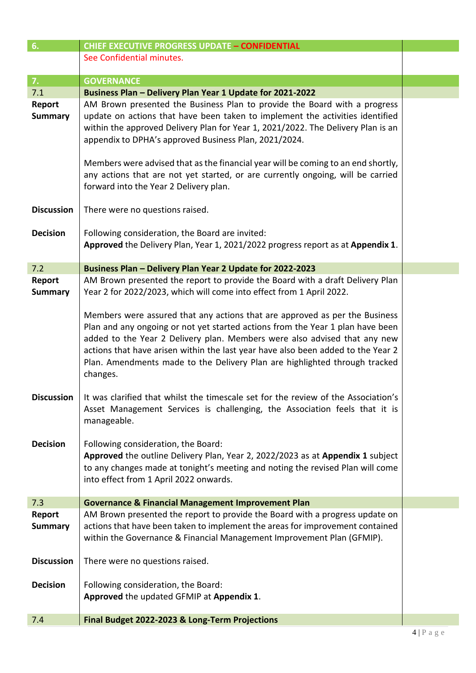| 6.                       | <b>CHIEF EXECUTIVE PROGRESS UPDATE - CONFIDENTIAL</b>                                                                                                                                                                                                                                                                                                                                                                    |  |
|--------------------------|--------------------------------------------------------------------------------------------------------------------------------------------------------------------------------------------------------------------------------------------------------------------------------------------------------------------------------------------------------------------------------------------------------------------------|--|
|                          | See Confidential minutes.                                                                                                                                                                                                                                                                                                                                                                                                |  |
|                          |                                                                                                                                                                                                                                                                                                                                                                                                                          |  |
| 7.                       | <b>GOVERNANCE</b>                                                                                                                                                                                                                                                                                                                                                                                                        |  |
| 7.1                      | Business Plan - Delivery Plan Year 1 Update for 2021-2022                                                                                                                                                                                                                                                                                                                                                                |  |
| Report<br><b>Summary</b> | AM Brown presented the Business Plan to provide the Board with a progress<br>update on actions that have been taken to implement the activities identified<br>within the approved Delivery Plan for Year 1, 2021/2022. The Delivery Plan is an<br>appendix to DPHA's approved Business Plan, 2021/2024.                                                                                                                  |  |
|                          | Members were advised that as the financial year will be coming to an end shortly,<br>any actions that are not yet started, or are currently ongoing, will be carried<br>forward into the Year 2 Delivery plan.                                                                                                                                                                                                           |  |
| <b>Discussion</b>        | There were no questions raised.                                                                                                                                                                                                                                                                                                                                                                                          |  |
| <b>Decision</b>          | Following consideration, the Board are invited:                                                                                                                                                                                                                                                                                                                                                                          |  |
|                          | Approved the Delivery Plan, Year 1, 2021/2022 progress report as at Appendix 1.                                                                                                                                                                                                                                                                                                                                          |  |
| 7.2                      | Business Plan - Delivery Plan Year 2 Update for 2022-2023                                                                                                                                                                                                                                                                                                                                                                |  |
| Report                   | AM Brown presented the report to provide the Board with a draft Delivery Plan                                                                                                                                                                                                                                                                                                                                            |  |
| <b>Summary</b>           | Year 2 for 2022/2023, which will come into effect from 1 April 2022.                                                                                                                                                                                                                                                                                                                                                     |  |
|                          | Members were assured that any actions that are approved as per the Business<br>Plan and any ongoing or not yet started actions from the Year 1 plan have been<br>added to the Year 2 Delivery plan. Members were also advised that any new<br>actions that have arisen within the last year have also been added to the Year 2<br>Plan. Amendments made to the Delivery Plan are highlighted through tracked<br>changes. |  |
| <b>Discussion</b>        | It was clarified that whilst the timescale set for the review of the Association's<br>Asset Management Services is challenging, the Association feels that it is<br>manageable.                                                                                                                                                                                                                                          |  |
| <b>Decision</b>          | Following consideration, the Board:<br>Approved the outline Delivery Plan, Year 2, 2022/2023 as at Appendix 1 subject<br>to any changes made at tonight's meeting and noting the revised Plan will come<br>into effect from 1 April 2022 onwards.                                                                                                                                                                        |  |
| 7.3                      | <b>Governance &amp; Financial Management Improvement Plan</b>                                                                                                                                                                                                                                                                                                                                                            |  |
| Report<br><b>Summary</b> | AM Brown presented the report to provide the Board with a progress update on<br>actions that have been taken to implement the areas for improvement contained<br>within the Governance & Financial Management Improvement Plan (GFMIP).                                                                                                                                                                                  |  |
| <b>Discussion</b>        | There were no questions raised.                                                                                                                                                                                                                                                                                                                                                                                          |  |
| <b>Decision</b>          | Following consideration, the Board:<br>Approved the updated GFMIP at Appendix 1.                                                                                                                                                                                                                                                                                                                                         |  |
| 7.4                      | Final Budget 2022-2023 & Long-Term Projections                                                                                                                                                                                                                                                                                                                                                                           |  |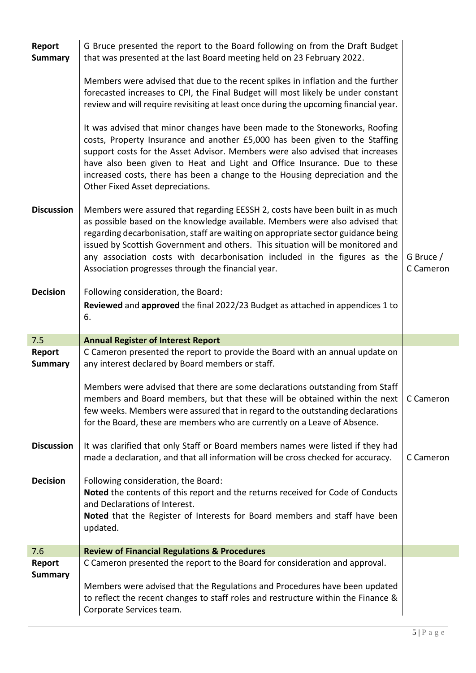| Report<br><b>Summary</b> | G Bruce presented the report to the Board following on from the Draft Budget<br>that was presented at the last Board meeting held on 23 February 2022.                                                                                                                                                                                                                                                                                                                  |                        |
|--------------------------|-------------------------------------------------------------------------------------------------------------------------------------------------------------------------------------------------------------------------------------------------------------------------------------------------------------------------------------------------------------------------------------------------------------------------------------------------------------------------|------------------------|
|                          | Members were advised that due to the recent spikes in inflation and the further<br>forecasted increases to CPI, the Final Budget will most likely be under constant<br>review and will require revisiting at least once during the upcoming financial year.                                                                                                                                                                                                             |                        |
|                          | It was advised that minor changes have been made to the Stoneworks, Roofing<br>costs, Property Insurance and another £5,000 has been given to the Staffing<br>support costs for the Asset Advisor. Members were also advised that increases<br>have also been given to Heat and Light and Office Insurance. Due to these<br>increased costs, there has been a change to the Housing depreciation and the<br>Other Fixed Asset depreciations.                            |                        |
| <b>Discussion</b>        | Members were assured that regarding EESSH 2, costs have been built in as much<br>as possible based on the knowledge available. Members were also advised that<br>regarding decarbonisation, staff are waiting on appropriate sector guidance being<br>issued by Scottish Government and others. This situation will be monitored and<br>any association costs with decarbonisation included in the figures as the<br>Association progresses through the financial year. | G Bruce /<br>C Cameron |
| <b>Decision</b>          | Following consideration, the Board:<br>Reviewed and approved the final 2022/23 Budget as attached in appendices 1 to<br>6.                                                                                                                                                                                                                                                                                                                                              |                        |
|                          |                                                                                                                                                                                                                                                                                                                                                                                                                                                                         |                        |
| 7.5                      | <b>Annual Register of Interest Report</b>                                                                                                                                                                                                                                                                                                                                                                                                                               |                        |
| Report<br><b>Summary</b> | C Cameron presented the report to provide the Board with an annual update on<br>any interest declared by Board members or staff.                                                                                                                                                                                                                                                                                                                                        |                        |
|                          | Members were advised that there are some declarations outstanding from Staff<br>members and Board members, but that these will be obtained within the next<br>few weeks. Members were assured that in regard to the outstanding declarations<br>for the Board, these are members who are currently on a Leave of Absence.                                                                                                                                               | C Cameron              |
| <b>Discussion</b>        | It was clarified that only Staff or Board members names were listed if they had<br>made a declaration, and that all information will be cross checked for accuracy.                                                                                                                                                                                                                                                                                                     | C Cameron              |
| <b>Decision</b>          | Following consideration, the Board:<br>Noted the contents of this report and the returns received for Code of Conducts<br>and Declarations of Interest.<br>Noted that the Register of Interests for Board members and staff have been<br>updated.                                                                                                                                                                                                                       |                        |
| 7.6                      | <b>Review of Financial Regulations &amp; Procedures</b>                                                                                                                                                                                                                                                                                                                                                                                                                 |                        |
| Report<br><b>Summary</b> | C Cameron presented the report to the Board for consideration and approval.<br>Members were advised that the Regulations and Procedures have been updated                                                                                                                                                                                                                                                                                                               |                        |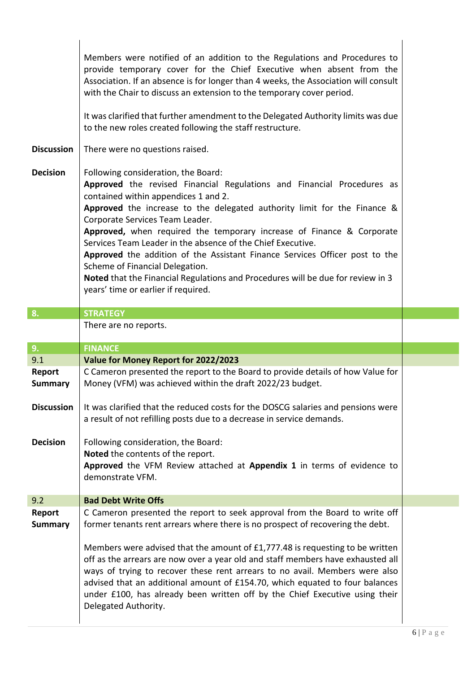| <b>Discussion</b><br><b>Decision</b>          | Members were notified of an addition to the Regulations and Procedures to<br>provide temporary cover for the Chief Executive when absent from the<br>Association. If an absence is for longer than 4 weeks, the Association will consult<br>with the Chair to discuss an extension to the temporary cover period.<br>It was clarified that further amendment to the Delegated Authority limits was due<br>to the new roles created following the staff restructure.<br>There were no questions raised.<br>Following consideration, the Board:<br>Approved the revised Financial Regulations and Financial Procedures as<br>contained within appendices 1 and 2.<br>Approved the increase to the delegated authority limit for the Finance &<br>Corporate Services Team Leader.<br>Approved, when required the temporary increase of Finance & Corporate<br>Services Team Leader in the absence of the Chief Executive.<br>Approved the addition of the Assistant Finance Services Officer post to the<br>Scheme of Financial Delegation.<br>Noted that the Financial Regulations and Procedures will be due for review in 3<br>years' time or earlier if required. |  |
|-----------------------------------------------|--------------------------------------------------------------------------------------------------------------------------------------------------------------------------------------------------------------------------------------------------------------------------------------------------------------------------------------------------------------------------------------------------------------------------------------------------------------------------------------------------------------------------------------------------------------------------------------------------------------------------------------------------------------------------------------------------------------------------------------------------------------------------------------------------------------------------------------------------------------------------------------------------------------------------------------------------------------------------------------------------------------------------------------------------------------------------------------------------------------------------------------------------------------------|--|
| 8.                                            | <b>STRATEGY</b>                                                                                                                                                                                                                                                                                                                                                                                                                                                                                                                                                                                                                                                                                                                                                                                                                                                                                                                                                                                                                                                                                                                                                    |  |
|                                               | There are no reports.                                                                                                                                                                                                                                                                                                                                                                                                                                                                                                                                                                                                                                                                                                                                                                                                                                                                                                                                                                                                                                                                                                                                              |  |
| 9.                                            | <b>FINANCE</b>                                                                                                                                                                                                                                                                                                                                                                                                                                                                                                                                                                                                                                                                                                                                                                                                                                                                                                                                                                                                                                                                                                                                                     |  |
| 9.1                                           | Value for Money Report for 2022/2023                                                                                                                                                                                                                                                                                                                                                                                                                                                                                                                                                                                                                                                                                                                                                                                                                                                                                                                                                                                                                                                                                                                               |  |
| Report<br><b>Summary</b><br><b>Discussion</b> | C Cameron presented the report to the Board to provide details of how Value for<br>Money (VFM) was achieved within the draft 2022/23 budget.<br>It was clarified that the reduced costs for the DOSCG salaries and pensions were                                                                                                                                                                                                                                                                                                                                                                                                                                                                                                                                                                                                                                                                                                                                                                                                                                                                                                                                   |  |
| <b>Decision</b>                               | a result of not refilling posts due to a decrease in service demands.<br>Following consideration, the Board:<br>Noted the contents of the report.<br>Approved the VFM Review attached at Appendix 1 in terms of evidence to<br>demonstrate VFM.                                                                                                                                                                                                                                                                                                                                                                                                                                                                                                                                                                                                                                                                                                                                                                                                                                                                                                                    |  |
|                                               |                                                                                                                                                                                                                                                                                                                                                                                                                                                                                                                                                                                                                                                                                                                                                                                                                                                                                                                                                                                                                                                                                                                                                                    |  |
|                                               |                                                                                                                                                                                                                                                                                                                                                                                                                                                                                                                                                                                                                                                                                                                                                                                                                                                                                                                                                                                                                                                                                                                                                                    |  |
|                                               |                                                                                                                                                                                                                                                                                                                                                                                                                                                                                                                                                                                                                                                                                                                                                                                                                                                                                                                                                                                                                                                                                                                                                                    |  |
| 9.2<br>Report                                 | <b>Bad Debt Write Offs</b><br>C Cameron presented the report to seek approval from the Board to write off                                                                                                                                                                                                                                                                                                                                                                                                                                                                                                                                                                                                                                                                                                                                                                                                                                                                                                                                                                                                                                                          |  |

I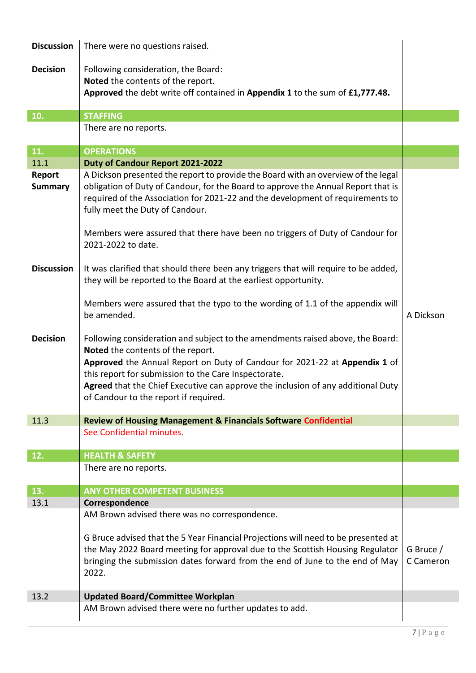| <b>Discussion</b>        | There were no questions raised.                                                                                                                                                                                                                                                                                                                                                                   |                        |
|--------------------------|---------------------------------------------------------------------------------------------------------------------------------------------------------------------------------------------------------------------------------------------------------------------------------------------------------------------------------------------------------------------------------------------------|------------------------|
| <b>Decision</b>          | Following consideration, the Board:                                                                                                                                                                                                                                                                                                                                                               |                        |
|                          | Noted the contents of the report.                                                                                                                                                                                                                                                                                                                                                                 |                        |
|                          | Approved the debt write off contained in Appendix 1 to the sum of £1,777.48.                                                                                                                                                                                                                                                                                                                      |                        |
|                          |                                                                                                                                                                                                                                                                                                                                                                                                   |                        |
| 10.                      | <b>STAFFING</b>                                                                                                                                                                                                                                                                                                                                                                                   |                        |
|                          | There are no reports.                                                                                                                                                                                                                                                                                                                                                                             |                        |
| 11.                      | <b>OPERATIONS</b>                                                                                                                                                                                                                                                                                                                                                                                 |                        |
| 11.1                     | Duty of Candour Report 2021-2022                                                                                                                                                                                                                                                                                                                                                                  |                        |
| Report<br><b>Summary</b> | A Dickson presented the report to provide the Board with an overview of the legal<br>obligation of Duty of Candour, for the Board to approve the Annual Report that is<br>required of the Association for 2021-22 and the development of requirements to<br>fully meet the Duty of Candour.<br>Members were assured that there have been no triggers of Duty of Candour for<br>2021-2022 to date. |                        |
| <b>Discussion</b>        | It was clarified that should there been any triggers that will require to be added,<br>they will be reported to the Board at the earliest opportunity.                                                                                                                                                                                                                                            |                        |
|                          | Members were assured that the typo to the wording of 1.1 of the appendix will<br>be amended.                                                                                                                                                                                                                                                                                                      | A Dickson              |
| <b>Decision</b>          | Following consideration and subject to the amendments raised above, the Board:<br>Noted the contents of the report.<br>Approved the Annual Report on Duty of Candour for 2021-22 at Appendix 1 of<br>this report for submission to the Care Inspectorate.<br>Agreed that the Chief Executive can approve the inclusion of any additional Duty<br>of Candour to the report if required.            |                        |
| 11.3                     | <b>Review of Housing Management &amp; Financials Software Confidential</b>                                                                                                                                                                                                                                                                                                                        |                        |
|                          | See Confidential minutes.                                                                                                                                                                                                                                                                                                                                                                         |                        |
| 12.                      | <b>HEALTH &amp; SAFETY</b>                                                                                                                                                                                                                                                                                                                                                                        |                        |
|                          | There are no reports.                                                                                                                                                                                                                                                                                                                                                                             |                        |
|                          |                                                                                                                                                                                                                                                                                                                                                                                                   |                        |
| 13.                      | <b>ANY OTHER COMPETENT BUSINESS</b>                                                                                                                                                                                                                                                                                                                                                               |                        |
| 13.1                     | Correspondence                                                                                                                                                                                                                                                                                                                                                                                    |                        |
|                          | AM Brown advised there was no correspondence.<br>G Bruce advised that the 5 Year Financial Projections will need to be presented at<br>the May 2022 Board meeting for approval due to the Scottish Housing Regulator<br>bringing the submission dates forward from the end of June to the end of May<br>2022.                                                                                     | G Bruce /<br>C Cameron |
| 13.2                     | <b>Updated Board/Committee Workplan</b>                                                                                                                                                                                                                                                                                                                                                           |                        |
|                          | AM Brown advised there were no further updates to add.                                                                                                                                                                                                                                                                                                                                            |                        |